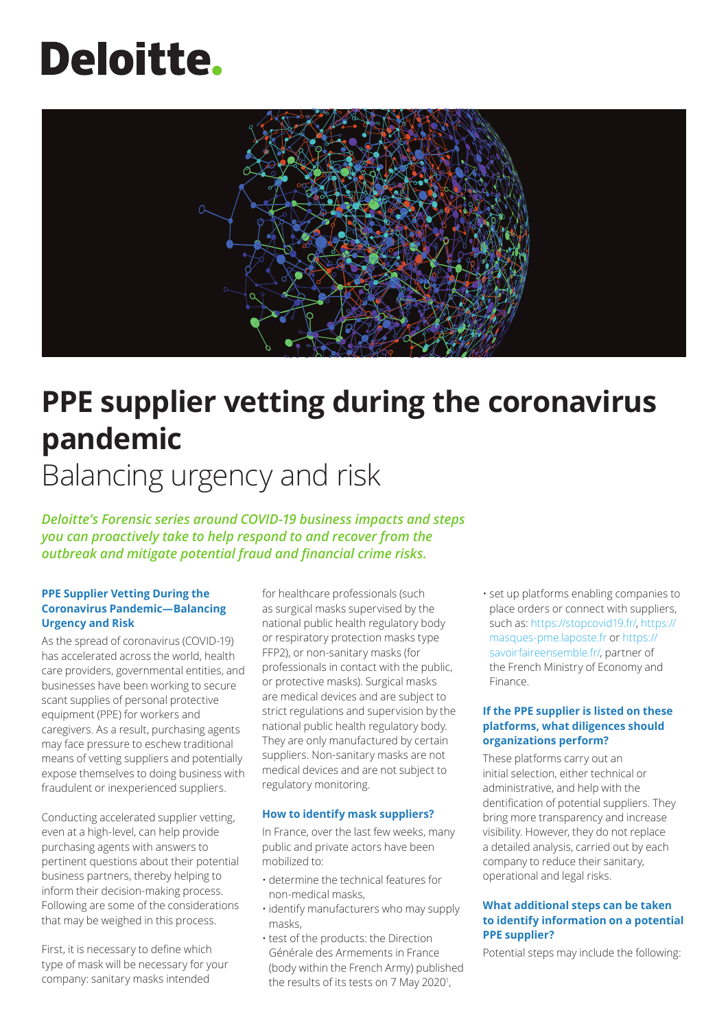# **Deloitte.**



## **PPE supplier vetting during the coronavirus pandemic** Balancing urgency and risk

*Deloitte's Forensic series around COVID-19 business impacts and steps you can proactively take to help respond to and recover from the outbreak and mitigate potential fraud and financial crime risks.*

#### **PPE Supplier Vetting During the Coronavirus Pandemic—Balancing Urgency and Risk**

As the spread of coronavirus (COVID-19) has accelerated across the world, health care providers, governmental entities, and businesses have been working to secure scant supplies of personal protective equipment (PPE) for workers and caregivers. As a result, purchasing agents may face pressure to eschew traditional means of vetting suppliers and potentially expose themselves to doing business with fraudulent or inexperienced suppliers.

Conducting accelerated supplier vetting, even at a high-level, can help provide purchasing agents with answers to pertinent questions about their potential business partners, thereby helping to inform their decision-making process. Following are some of the considerations that may be weighed in this process.

First, it is necessary to define which type of mask will be necessary for your company: sanitary masks intended

for healthcare professionals (such as surgical masks supervised by the national public health regulatory body or respiratory protection masks type FFP2), or non-sanitary masks (for professionals in contact with the public, or protective masks). Surgical masks are medical devices and are subject to strict regulations and supervision by the national public health regulatory body. They are only manufactured by certain suppliers. Non-sanitary masks are not medical devices and are not subject to regulatory monitoring.

#### **How to identify mask suppliers?**

In France, over the last few weeks, many public and private actors have been mobilized to:

- determine the technical features for non-medical masks,
- identify manufacturers who may supply masks,
- test of the products: the Direction Générale des Armements in France (body within the French Army) published the results of its tests on 7 May 2020<sup>1</sup>,

• set up platforms enabling companies to place orders or connect with suppliers, such as:<https://stopcovid19.fr/>, [https://](https://masques-pme.laposte.fr) [masques-pme.laposte.fr o](https://masques-pme.laposte.fr)r [https://](https://savoirfaireensemble.fr/) [savoirfaireensemble.fr/,](https://savoirfaireensemble.fr/) partner of the French Ministry of Economy and Finance.

#### **If the PPE supplier is listed on these platforms, what diligences should organizations perform?**

These platforms carry out an initial selection, either technical or administrative, and help with the dentification of potential suppliers. They bring more transparency and increase visibility. However, they do not replace a detailed analysis, carried out by each company to reduce their sanitary, operational and legal risks.

#### **What additional steps can be taken to identify information on a potential PPE supplier?**

Potential steps may include the following: